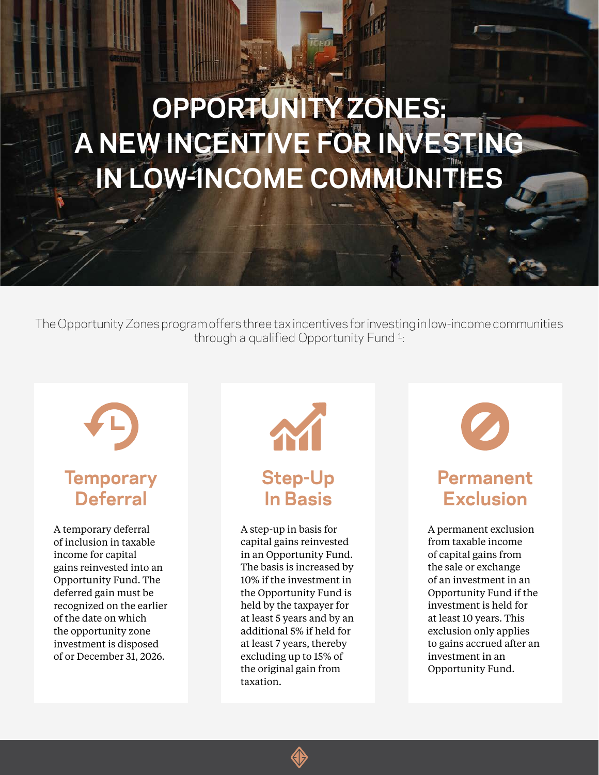# **OPPORTUNITY ZONES: A NEW INCENTIVE FOR INVESTING IN LOW-INCOME COMMUNITIES**

The Opportunity Zones program offers three tax incentives for investing in low-income communities through a qualified Opportunity Fund 1:



# **Temporary Deferral**

A temporary deferral of inclusion in taxable income for capital gains reinvested into an Opportunity Fund. The deferred gain must be recognized on the earlier of the date on which the opportunity zone investment is disposed of or December 31, 2026.



A step-up in basis for capital gains reinvested in an Opportunity Fund. The basis is increased by 10% if the investment in the Opportunity Fund is held by the taxpayer for at least 5 years and by an additional 5% if held for at least 7 years, thereby excluding up to 15% of the original gain from taxation.



# **Permanent Exclusion**

A permanent exclusion from taxable income of capital gains from the sale or exchange of an investment in an Opportunity Fund if the investment is held for at least 10 years. This exclusion only applies to gains accrued after an investment in an Opportunity Fund.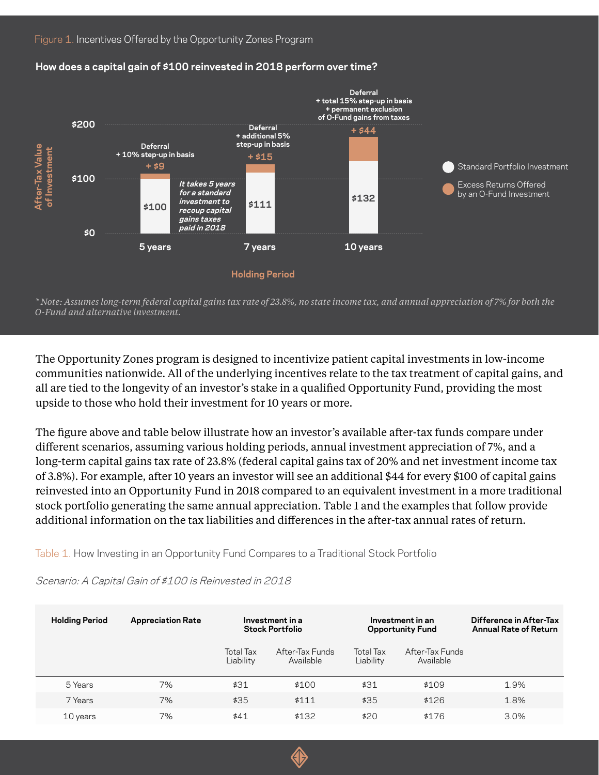

#### **How does a capital gain of \$100 reinvested in 2018 perform over time?**

*\* Note: Assumes long-term federal capital gains tax rate of 23.8%, no state income tax, and annual appreciation of 7% for both the O-Fund and alternative investment.*

The Opportunity Zones program is designed to incentivize patient capital investments in low-income communities nationwide. All of the underlying incentives relate to the tax treatment of capital gains, and all are tied to the longevity of an investor's stake in a qualified Opportunity Fund, providing the most upside to those who hold their investment for 10 years or more.

The figure above and table below illustrate how an investor's available after-tax funds compare under different scenarios, assuming various holding periods, annual investment appreciation of 7%, and a long-term capital gains tax rate of 23.8% (federal capital gains tax of 20% and net investment income tax of 3.8%). For example, after 10 years an investor will see an additional \$44 for every \$100 of capital gains reinvested into an Opportunity Fund in 2018 compared to an equivalent investment in a more traditional stock portfolio generating the same annual appreciation. Table 1 and the examples that follow provide additional information on the tax liabilities and differences in the after-tax annual rates of return.

Table 1. How Investing in an Opportunity Fund Compares to a Traditional Stock Portfolio

| <b>Holding Period</b> | <b>Appreciation Rate</b> | Investment in a<br><b>Stock Portfolio</b> |                              | Investment in an<br><b>Opportunity Fund</b> |                              | Difference in After-Tax<br><b>Annual Rate of Return</b> |
|-----------------------|--------------------------|-------------------------------------------|------------------------------|---------------------------------------------|------------------------------|---------------------------------------------------------|
|                       |                          | Total Tax<br>Liability                    | After-Tax Funds<br>Available | Total Tax<br>Liability                      | After-Tax Funds<br>Available |                                                         |
| 5 Years               | 7%                       | \$31                                      | \$100                        | \$31                                        | \$109                        | 1.9%                                                    |
| 7 Years               | 7%                       | \$35                                      | \$111                        | \$35                                        | \$126                        | 1.8%                                                    |
| 10 years              | 7%                       | \$41                                      | \$1,32                       | \$20                                        | \$176                        | $3.0\%$                                                 |

Scenario: A Capital Gain of \$100 is Reinvested in 2018

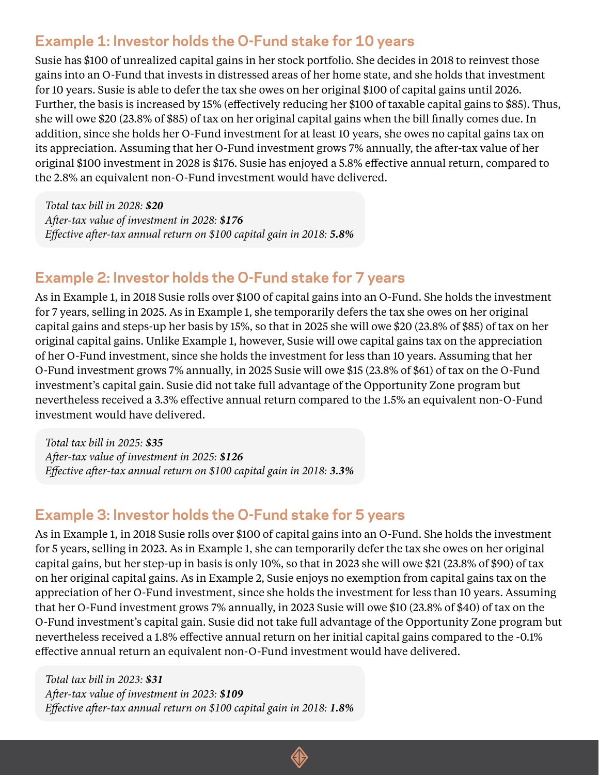## **Example 1: Investor holds the O-Fund stake for 10 years**

Susie has \$100 of unrealized capital gains in her stock portfolio. She decides in 2018 to reinvest those gains into an O-Fund that invests in distressed areas of her home state, and she holds that investment for 10 years. Susie is able to defer the tax she owes on her original \$100 of capital gains until 2026. Further, the basis is increased by 15% (effectively reducing her \$100 of taxable capital gains to \$85). Thus, she will owe \$20 (23.8% of \$85) of tax on her original capital gains when the bill finally comes due. In addition, since she holds her O-Fund investment for at least 10 years, she owes no capital gains tax on its appreciation. Assuming that her O-Fund investment grows 7% annually, the after-tax value of her original \$100 investment in 2028 is \$176. Susie has enjoyed a 5.8% effective annual return, compared to the 2.8% an equivalent non-O-Fund investment would have delivered.

*Total tax bill in 2028: \$20 After-tax value of investment in 2028: \$176 Effective after-tax annual return on \$100 capital gain in 2018: 5.8%*

### **Example 2: Investor holds the O-Fund stake for 7 years**

As in Example 1, in 2018 Susie rolls over \$100 of capital gains into an O-Fund. She holds the investment for 7 years, selling in 2025. As in Example 1, she temporarily defers the tax she owes on her original capital gains and steps-up her basis by 15%, so that in 2025 she will owe \$20 (23.8% of \$85) of tax on her original capital gains. Unlike Example 1, however, Susie will owe capital gains tax on the appreciation of her O-Fund investment, since she holds the investment for less than 10 years. Assuming that her O-Fund investment grows 7% annually, in 2025 Susie will owe \$15 (23.8% of \$61) of tax on the O-Fund investment's capital gain. Susie did not take full advantage of the Opportunity Zone program but nevertheless received a 3.3% effective annual return compared to the 1.5% an equivalent non-O-Fund investment would have delivered.

*Total tax bill in 2025: \$35 After-tax value of investment in 2025: \$126 Effective after-tax annual return on \$100 capital gain in 2018: 3.3%*

### **Example 3: Investor holds the O-Fund stake for 5 years**

As in Example 1, in 2018 Susie rolls over \$100 of capital gains into an O-Fund. She holds the investment for 5 years, selling in 2023. As in Example 1, she can temporarily defer the tax she owes on her original capital gains, but her step-up in basis is only 10%, so that in 2023 she will owe \$21 (23.8% of \$90) of tax on her original capital gains. As in Example 2, Susie enjoys no exemption from capital gains tax on the appreciation of her O-Fund investment, since she holds the investment for less than 10 years. Assuming that her O-Fund investment grows 7% annually, in 2023 Susie will owe \$10 (23.8% of \$40) of tax on the O-Fund investment's capital gain. Susie did not take full advantage of the Opportunity Zone program but nevertheless received a 1.8% effective annual return on her initial capital gains compared to the -0.1% effective annual return an equivalent non-O-Fund investment would have delivered.

*Total tax bill in 2023: \$31 After-tax value of investment in 2023: \$109 Effective after-tax annual return on \$100 capital gain in 2018: 1.8%*